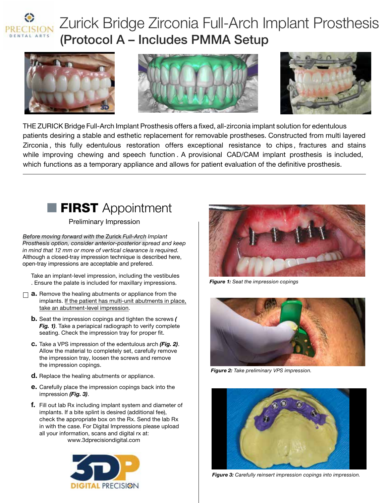

# Zurick Bridge Zirconia Full-Arch Implant Prosthesis (Protocol A – Includes PMMA Setup







THE ZURICK Bridge Full-Arch Implant Prosthesis offers a fixed, all-zirconia implant solution for edentulous patients desiring a stable and esthetic replacement for removable prostheses. Constructed from multi layered Zirconia , this fully edentulous restoration offers exceptional resistance to chips , fractures and stains while improving chewing and speech function. A provisional CAD/CAM implant prosthesis is included, which functions as a temporary appliance and allows for patient evaluation of the definitive prosthesis.



Preliminary Impression

*Before moving forward with the* Zurick *Full-Arch Implant Prosthesis option, consider anterior-posterior spread and keep in mind that 12 mm or more of vertical clearance is required.* Although a closed-tray impression technique is described here, open-tray impressions are acceptable and prefered.

Take an implant-level impression, including the vestibules . Ensure the palate is included for maxillary impressions.

- $\Box$  **a.** Remove the healing abutments or appliance from the implants. If the patient has multi-unit abutments in place, take an abutment-level impression.
	- b. Seat the impression copings and tighten the screws *( Fig. 1)*. Take a periapical radiograph to verify complete seating. Check the impression tray for proper fit.
	- c. Take a VPS impression of the edentulous arch *(Fig. 2)*. Allow the material to completely set, carefully remove the impression tray, loosen the screws and remove the impression copings.
	- d. Replace the healing abutments or appliance.
	- e. Carefully place the impression copings back into the impression *(Fig. 3)*.
	- f. Fill out lab Rx including implant system and diameter of implants. If a bite splint is desired (additional fee), check the appropriate box on the Rx. Send the lab Rx in with the case. For Digital Impressions please upload all your information, scans and digital rx at: www.3dprecisiondigital.com





*Figure 1: Seat the impression copings*



*Figure 2: Take preliminary VPS impression.* 



*Figure 3: Carefully reinsert impression copings into impression.*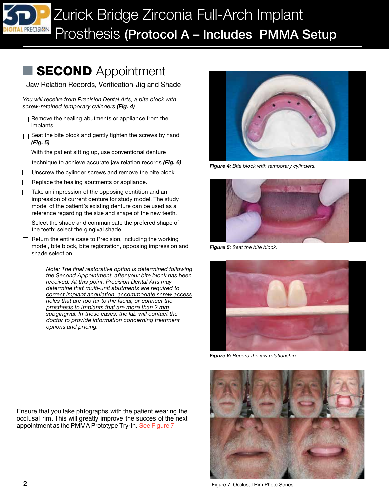## **SECOND** Appointment

Jaw Relation Records, Verification-Jig and Shade

*You will receive from Precision Dental Arts, a bite block with screw-retained temporary cylinders (Fig. 4)*

- $\Box$  Remove the healing abutments or appliance from the implants.
- □ Seat the bite block and gently tighten the screws by hand *(Fig.* 5).
- $\Box$  With the patient sitting up, use conventional denture
- technique to achieve accurate jaw relation records *(Fig. 6)*.
- $\Box$  Unscrew the cylinder screws and remove the bite block.
- $\Box$  Replace the healing abutments or appliance.
- $\Box$  Take an impression of the opposing dentition and an impression of current denture for study model. The study model of the patient's existing denture can be used as a reference regarding the size and shape of the new teeth.
- $\Box$  Select the shade and communicate the prefered shape of the teeth; select the gingival shade.
- $\Box$  Return the entire case to Precision, including the working model, bite block, bite registration, opposing impression and shade selection.

*Note: The final restorative option is determined following the Second Appointment, after your bite block has been received. At this point, Precision Dental Arts may determine that multi-unit abutments are required to correct implant angulation, accommodate screw access holes that are too far to the facial, or connect the prosthesis to implants that are more than 2 mm subgingival. In these cases, the lab will contact the doctor to provide information concerning treatment options and pricing.*

 Ensure that you take phtographs with the patient wearing the appointment as the PMMA Prototype Try-In. See Figure 7 occlusal rim. This will greatly improve the succes of the next



*Figure 4: Bite block with temporary cylinders.*



*Figure 5: Seat the bite block.*



*Figure 6: Record the jaw relationship.*



Figure 7: Occlusal Rim Photo Series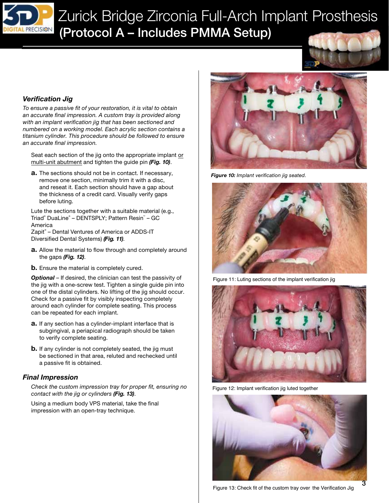

#### *Verification Jig*

 *with an implant verification jig that has been sectioned and an accurate final impression. To ensure a passive fit of your restoration, it is vital to obtain an accurate final impression. A custom tray is provided along numbered on a working model. Each acrylic section contains a titanium cylinder. This procedure should be followed to ensure*

Seat each section of the jig onto the appropriate implant or multi-unit abutment and tighten the guide pin *(Fig. 10)*.

**a.** The sections should not be in contact. If necessary, remove one section, minimally trim it with a disc, and reseat it. Each section should have a gap about the thickness of a credit card. Visually verify gaps before luting.

Lute the sections together with a suitable material (e.g., Triad® DuaLine® – DENTSPLY; Pattern Resin™ – GC America

Zapit® – Dental Ventures of America or ADDS-IT Diversied Dental Systems) *(Fig. 11)*.

- a. Allow the material to flow through and completely around the gaps *(Fig. 12)*.
- **b.** Ensure the material is completely cured.

*Optional* – If desired, the clinician can test the passivity of the jig with a one-screw test. Tighten a single guide pin into one of the distal cylinders. No lifting of the jig should occur. Check for a passive fit by visibly inspecting completely around each cylinder for complete seating. This process can be repeated for each implant.

- **a.** If any section has a cylinder-implant interface that is subgingival, a periapical radiograph should be taken to verify complete seating.
- **b.** If any cylinder is not completely seated, the jig must be sectioned in that area, reluted and rechecked until a passive fit is obtained.

#### *Final Impression*

*Check the custom impression tray for proper fit, ensuring no contact with the jig or cylinders (Fig. 13)*.

Using a medium body VPS material, take the final impression with an open-tray technique.



*Figure 10: Implant verification jig seated.*



Figure 11: Luting sections of the implant verification jig



Figure 12: Implant verification jig luted together

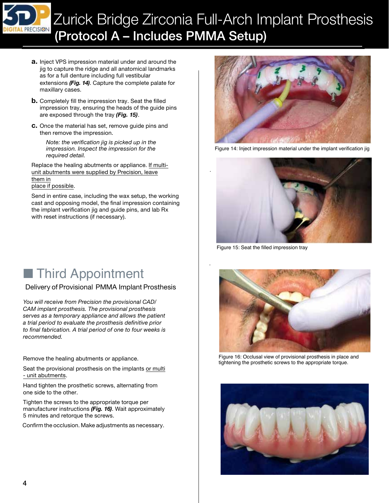

## Zurick Bridge Zirconia Full-Arch Implant Prosthesis (Protocol A – Includes PMMA Setup)

*.*

*.*

- a. Inject VPS impression material under and around the jig to capture the ridge and all anatomical landmarks as for a full denture including full vestibular extensions *(Fig. 14)*. Capture the complete palate for maxillary cases.
- **b.** Completely fill the impression tray. Seat the filled impression tray, ensuring the heads of the guide pins are exposed through the tray *(Fig. 15)*.
- c. Once the material has set, remove guide pins and then remove the impression.

*Note: the verification jig is picked up in the impression. Inspect the impression for the required detail.*

Replace the healing abutments or appliance. If multiunit abutments were supplied by Precision, leave them in place if possible.

Send in entire case, including the wax setup, the working cast and opposing model, the final impression containing the implant verification jig and guide pins, and lab Rx with reset instructions (if necessary).

■ Third Appointment

#### Delivery of Provisional PMMA Implant Prosthesis

 *to final fabrication. A trial period of one to four weeks is You will receive from Precision the provisional CAD/ CAM implant prosthesis. The provisional prosthesis serves as a temporary appliance and allows the patient a trial period to evaluate the prosthesis definitive prior recommended.*

Remove the healing abutments or appliance.

Seat the provisional prosthesis on the implants or multi - unit abutments.

Hand tighten the prosthetic screws, alternating from one side to the other.

Tighten the screws to the appropriate torque per manufacturer instructions *(Fig. 16)*. Wait approximately 5 minutes and retorque the screws.

Confirm the occlusion. Make adjustments as necessary.



Figure 14: Inject impression material under the implant verification jig



Figure 15: Seat the filled impression tray



Figure 16: Occlusal view of provisional prosthesis in place and tightening the prosthetic screws to the appropriate torque.

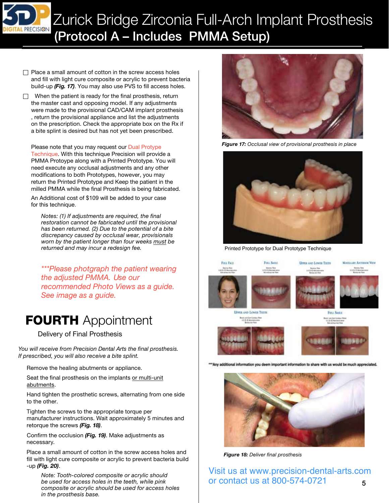

Zurick Bridge Zirconia Full-Arch Implant Prosthesis (Protocol <sup>A</sup> – Includes PMMA Setup)

 $\Box$  Place a small amount of cotton in the screw access holes and fill with light cure composite or acrylic to prevent bacteria build-up *(Fig. 17)*. You may also use PVS to fill access holes.

 $\Box$  When the patient is ready for the final prosthesis, return the master cast and opposing model. If any adjustments were made to the provisional CAD/CAM implant prosthesis , return the provisional appliance and list the adjustments on the prescription. Check the appropriate box on the Rx if a bite splint is desired but has not yet been prescribed.

Please note that you may request our Dual Protype Technique. With this technique Precision will provide a PMMA Protoype along with a Printed Prototype. You will need execute any occlusal adjustments and any other modifications to both Prototypes, however, you may return the Printed Prototype and Keep the patient in the milled PMMA while the final Prosthesis is being fabricated.

An Additional cost of \$109 will be added to your case for this technique.

*Notes: (1) If adjustments are required, the final restoration cannot be fabricated until the provisional has been returned. (2) Due to the potential of a bite discrepancy caused by occlusal wear, provisionals worn by the patient longer than four weeks must be returned and may incur a redesign fee.*

*\*\*\*Please photgraph the patient wearing the adjusted PMMA. Use our recommended Photo Views as a guide. See image as a guide.*

### **FOURTH** Appointment

Delivery of Final Prosthesis

*You will receive from Precision Dental Arts the final prosthesis. If prescribed, you will also receive a bite splint.*

Remove the healing abutments or appliance.

Seat the final prosthesis on the implants or multi-unit abutments.

Hand tighten the prosthetic screws, alternating from one side to the other.

Tighten the screws to the appropriate torque per manufacturer instructions. Wait approximately 5 minutes and retorque the screws *(Fig. 18)*.

Confirm the occlusion (Fig. 19). Make adjustments as necessary.

Place a small amount of cotton in the screw access holes and fill with light cure composite or acrylic to prevent bacteria build -up *(Fig. 20)*.

*Note: Tooth-colored composite or acrylic should be used for access holes in the teeth, while pink composite or acrylic should be used for access holes in the prosthesis base.*



*Figure 17: Occlusal view of provisional prosthesis in place*



Printed Prototype for Dual Prototype Technique







*Figure 18: Deliver final prosthesis*

5 Visit us at www.precision-dental-arts.com or contact us at 800-574-0721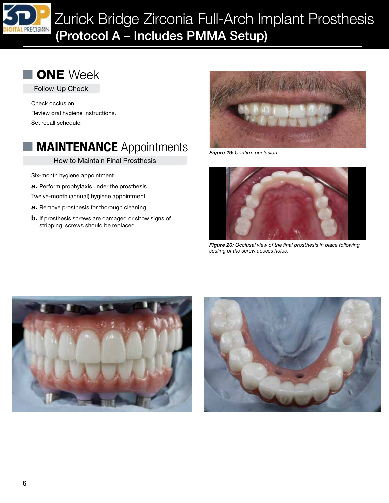

Zurick Bridge Zirconia Full-Arch Implant Prosthesis (Protocol A – Includes PMMA Setup)



Follow-Up Check

- □ Check occlusion.
- $\Box$  Review oral hygiene instructions.
- $\Box$  Set recall schedule.

### **MAINTENANCE** Appointments

How to Maintain Final Prosthesis

- $\Box$  Six-month hygiene appointment
	- a. Perform prophylaxis under the prosthesis.
- Twelve-month (annual) hygiene appointment
	- **a.** Remove prosthesis for thorough cleaning.
	- **b.** If prosthesis screws are damaged or show signs of stripping, screws should be replaced.



*Figure 19: Confirm occlusion.*



*Figure 20: Occlusal view of the final prosthesis in place following sealing of the screw access holes.*